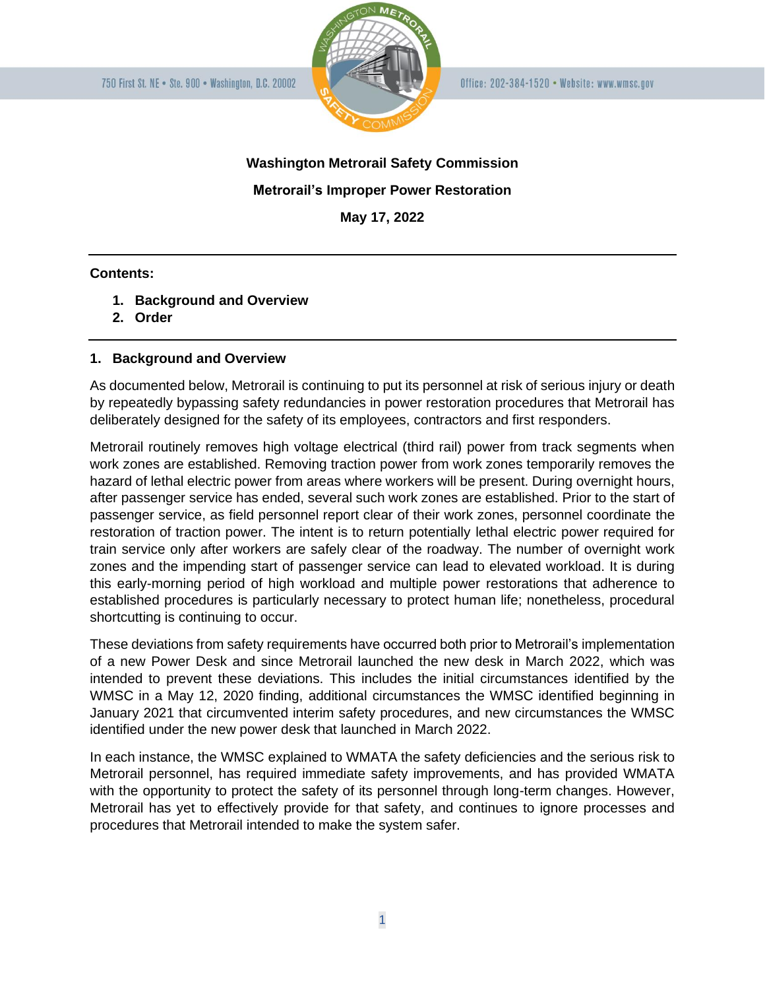

# **Washington Metrorail Safety Commission Metrorail's Improper Power Restoration May 17, 2022**

### **Contents:**

- **1. Background and Overview**
- **2. Order**

## **1. Background and Overview**

As documented below, Metrorail is continuing to put its personnel at risk of serious injury or death by repeatedly bypassing safety redundancies in power restoration procedures that Metrorail has deliberately designed for the safety of its employees, contractors and first responders.

Metrorail routinely removes high voltage electrical (third rail) power from track segments when work zones are established. Removing traction power from work zones temporarily removes the hazard of lethal electric power from areas where workers will be present. During overnight hours, after passenger service has ended, several such work zones are established. Prior to the start of passenger service, as field personnel report clear of their work zones, personnel coordinate the restoration of traction power. The intent is to return potentially lethal electric power required for train service only after workers are safely clear of the roadway. The number of overnight work zones and the impending start of passenger service can lead to elevated workload. It is during this early-morning period of high workload and multiple power restorations that adherence to established procedures is particularly necessary to protect human life; nonetheless, procedural shortcutting is continuing to occur.

These deviations from safety requirements have occurred both prior to Metrorail's implementation of a new Power Desk and since Metrorail launched the new desk in March 2022, which was intended to prevent these deviations. This includes the initial circumstances identified by the WMSC in a May 12, 2020 finding, additional circumstances the WMSC identified beginning in January 2021 that circumvented interim safety procedures, and new circumstances the WMSC identified under the new power desk that launched in March 2022.

In each instance, the WMSC explained to WMATA the safety deficiencies and the serious risk to Metrorail personnel, has required immediate safety improvements, and has provided WMATA with the opportunity to protect the safety of its personnel through long-term changes. However, Metrorail has yet to effectively provide for that safety, and continues to ignore processes and procedures that Metrorail intended to make the system safer.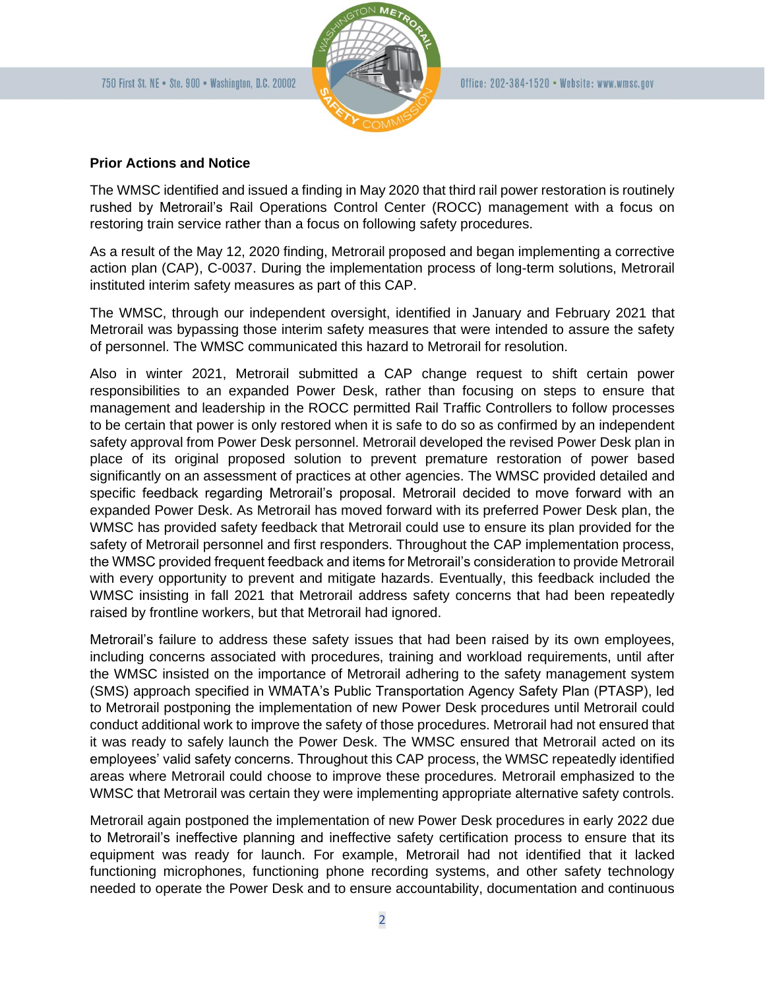

#### **Prior Actions and Notice**

The WMSC identified and issued a finding in May 2020 that third rail power restoration is routinely rushed by Metrorail's Rail Operations Control Center (ROCC) management with a focus on restoring train service rather than a focus on following safety procedures.

As a result of the May 12, 2020 finding, Metrorail proposed and began implementing a corrective action plan (CAP), C-0037. During the implementation process of long-term solutions, Metrorail instituted interim safety measures as part of this CAP.

The WMSC, through our independent oversight, identified in January and February 2021 that Metrorail was bypassing those interim safety measures that were intended to assure the safety of personnel. The WMSC communicated this hazard to Metrorail for resolution.

Also in winter 2021, Metrorail submitted a CAP change request to shift certain power responsibilities to an expanded Power Desk, rather than focusing on steps to ensure that management and leadership in the ROCC permitted Rail Traffic Controllers to follow processes to be certain that power is only restored when it is safe to do so as confirmed by an independent safety approval from Power Desk personnel. Metrorail developed the revised Power Desk plan in place of its original proposed solution to prevent premature restoration of power based significantly on an assessment of practices at other agencies. The WMSC provided detailed and specific feedback regarding Metrorail's proposal. Metrorail decided to move forward with an expanded Power Desk. As Metrorail has moved forward with its preferred Power Desk plan, the WMSC has provided safety feedback that Metrorail could use to ensure its plan provided for the safety of Metrorail personnel and first responders. Throughout the CAP implementation process, the WMSC provided frequent feedback and items for Metrorail's consideration to provide Metrorail with every opportunity to prevent and mitigate hazards. Eventually, this feedback included the WMSC insisting in fall 2021 that Metrorail address safety concerns that had been repeatedly raised by frontline workers, but that Metrorail had ignored.

Metrorail's failure to address these safety issues that had been raised by its own employees, including concerns associated with procedures, training and workload requirements, until after the WMSC insisted on the importance of Metrorail adhering to the safety management system (SMS) approach specified in WMATA's Public Transportation Agency Safety Plan (PTASP), led to Metrorail postponing the implementation of new Power Desk procedures until Metrorail could conduct additional work to improve the safety of those procedures. Metrorail had not ensured that it was ready to safely launch the Power Desk. The WMSC ensured that Metrorail acted on its employees' valid safety concerns. Throughout this CAP process, the WMSC repeatedly identified areas where Metrorail could choose to improve these procedures. Metrorail emphasized to the WMSC that Metrorail was certain they were implementing appropriate alternative safety controls.

Metrorail again postponed the implementation of new Power Desk procedures in early 2022 due to Metrorail's ineffective planning and ineffective safety certification process to ensure that its equipment was ready for launch. For example, Metrorail had not identified that it lacked functioning microphones, functioning phone recording systems, and other safety technology needed to operate the Power Desk and to ensure accountability, documentation and continuous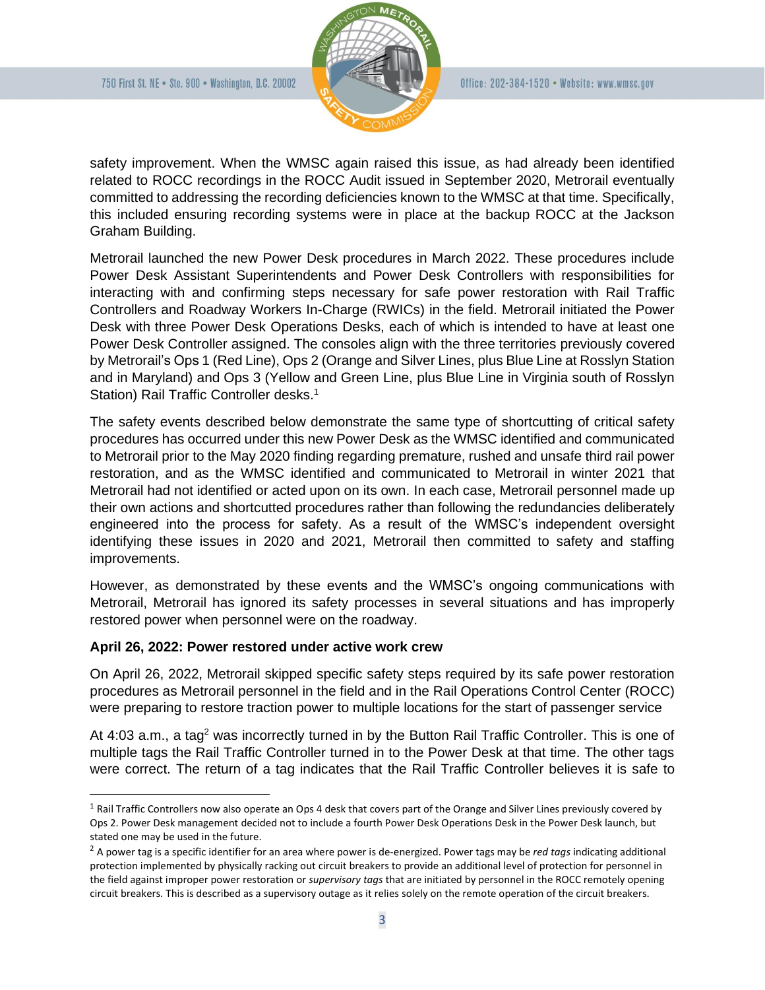

safety improvement. When the WMSC again raised this issue, as had already been identified related to ROCC recordings in the ROCC Audit issued in September 2020, Metrorail eventually committed to addressing the recording deficiencies known to the WMSC at that time. Specifically, this included ensuring recording systems were in place at the backup ROCC at the Jackson Graham Building.

Metrorail launched the new Power Desk procedures in March 2022. These procedures include Power Desk Assistant Superintendents and Power Desk Controllers with responsibilities for interacting with and confirming steps necessary for safe power restoration with Rail Traffic Controllers and Roadway Workers In-Charge (RWICs) in the field. Metrorail initiated the Power Desk with three Power Desk Operations Desks, each of which is intended to have at least one Power Desk Controller assigned. The consoles align with the three territories previously covered by Metrorail's Ops 1 (Red Line), Ops 2 (Orange and Silver Lines, plus Blue Line at Rosslyn Station and in Maryland) and Ops 3 (Yellow and Green Line, plus Blue Line in Virginia south of Rosslyn Station) Rail Traffic Controller desks.<sup>1</sup>

The safety events described below demonstrate the same type of shortcutting of critical safety procedures has occurred under this new Power Desk as the WMSC identified and communicated to Metrorail prior to the May 2020 finding regarding premature, rushed and unsafe third rail power restoration, and as the WMSC identified and communicated to Metrorail in winter 2021 that Metrorail had not identified or acted upon on its own. In each case, Metrorail personnel made up their own actions and shortcutted procedures rather than following the redundancies deliberately engineered into the process for safety. As a result of the WMSC's independent oversight identifying these issues in 2020 and 2021, Metrorail then committed to safety and staffing improvements.

However, as demonstrated by these events and the WMSC's ongoing communications with Metrorail, Metrorail has ignored its safety processes in several situations and has improperly restored power when personnel were on the roadway.

# **April 26, 2022: Power restored under active work crew**

On April 26, 2022, Metrorail skipped specific safety steps required by its safe power restoration procedures as Metrorail personnel in the field and in the Rail Operations Control Center (ROCC) were preparing to restore traction power to multiple locations for the start of passenger service

At 4:03 a.m., a tag<sup>2</sup> was incorrectly turned in by the Button Rail Traffic Controller. This is one of multiple tags the Rail Traffic Controller turned in to the Power Desk at that time. The other tags were correct. The return of a tag indicates that the Rail Traffic Controller believes it is safe to

 $1$  Rail Traffic Controllers now also operate an Ops 4 desk that covers part of the Orange and Silver Lines previously covered by Ops 2. Power Desk management decided not to include a fourth Power Desk Operations Desk in the Power Desk launch, but stated one may be used in the future.

<sup>2</sup> A power tag is a specific identifier for an area where power is de-energized. Power tags may be *red tags* indicating additional protection implemented by physically racking out circuit breakers to provide an additional level of protection for personnel in the field against improper power restoration or *supervisory tags* that are initiated by personnel in the ROCC remotely opening circuit breakers. This is described as a supervisory outage as it relies solely on the remote operation of the circuit breakers.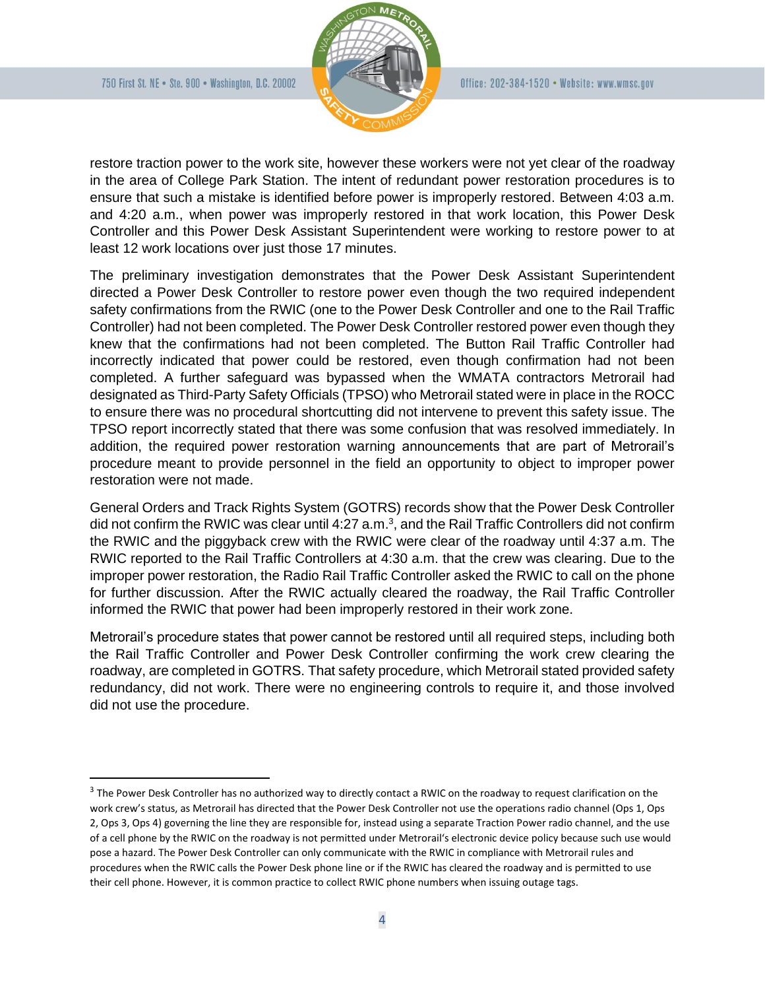

restore traction power to the work site, however these workers were not yet clear of the roadway in the area of College Park Station. The intent of redundant power restoration procedures is to ensure that such a mistake is identified before power is improperly restored. Between 4:03 a.m. and 4:20 a.m., when power was improperly restored in that work location, this Power Desk Controller and this Power Desk Assistant Superintendent were working to restore power to at least 12 work locations over just those 17 minutes.

The preliminary investigation demonstrates that the Power Desk Assistant Superintendent directed a Power Desk Controller to restore power even though the two required independent safety confirmations from the RWIC (one to the Power Desk Controller and one to the Rail Traffic Controller) had not been completed. The Power Desk Controller restored power even though they knew that the confirmations had not been completed. The Button Rail Traffic Controller had incorrectly indicated that power could be restored, even though confirmation had not been completed. A further safeguard was bypassed when the WMATA contractors Metrorail had designated as Third-Party Safety Officials (TPSO) who Metrorail stated were in place in the ROCC to ensure there was no procedural shortcutting did not intervene to prevent this safety issue. The TPSO report incorrectly stated that there was some confusion that was resolved immediately. In addition, the required power restoration warning announcements that are part of Metrorail's procedure meant to provide personnel in the field an opportunity to object to improper power restoration were not made.

General Orders and Track Rights System (GOTRS) records show that the Power Desk Controller did not confirm the RWIC was clear until 4:27 a.m.<sup>3</sup>, and the Rail Traffic Controllers did not confirm the RWIC and the piggyback crew with the RWIC were clear of the roadway until 4:37 a.m. The RWIC reported to the Rail Traffic Controllers at 4:30 a.m. that the crew was clearing. Due to the improper power restoration, the Radio Rail Traffic Controller asked the RWIC to call on the phone for further discussion. After the RWIC actually cleared the roadway, the Rail Traffic Controller informed the RWIC that power had been improperly restored in their work zone.

Metrorail's procedure states that power cannot be restored until all required steps, including both the Rail Traffic Controller and Power Desk Controller confirming the work crew clearing the roadway, are completed in GOTRS. That safety procedure, which Metrorail stated provided safety redundancy, did not work. There were no engineering controls to require it, and those involved did not use the procedure.

 $3$  The Power Desk Controller has no authorized way to directly contact a RWIC on the roadway to request clarification on the work crew's status, as Metrorail has directed that the Power Desk Controller not use the operations radio channel (Ops 1, Ops 2, Ops 3, Ops 4) governing the line they are responsible for, instead using a separate Traction Power radio channel, and the use of a cell phone by the RWIC on the roadway is not permitted under Metrorail's electronic device policy because such use would pose a hazard. The Power Desk Controller can only communicate with the RWIC in compliance with Metrorail rules and procedures when the RWIC calls the Power Desk phone line or if the RWIC has cleared the roadway and is permitted to use their cell phone. However, it is common practice to collect RWIC phone numbers when issuing outage tags.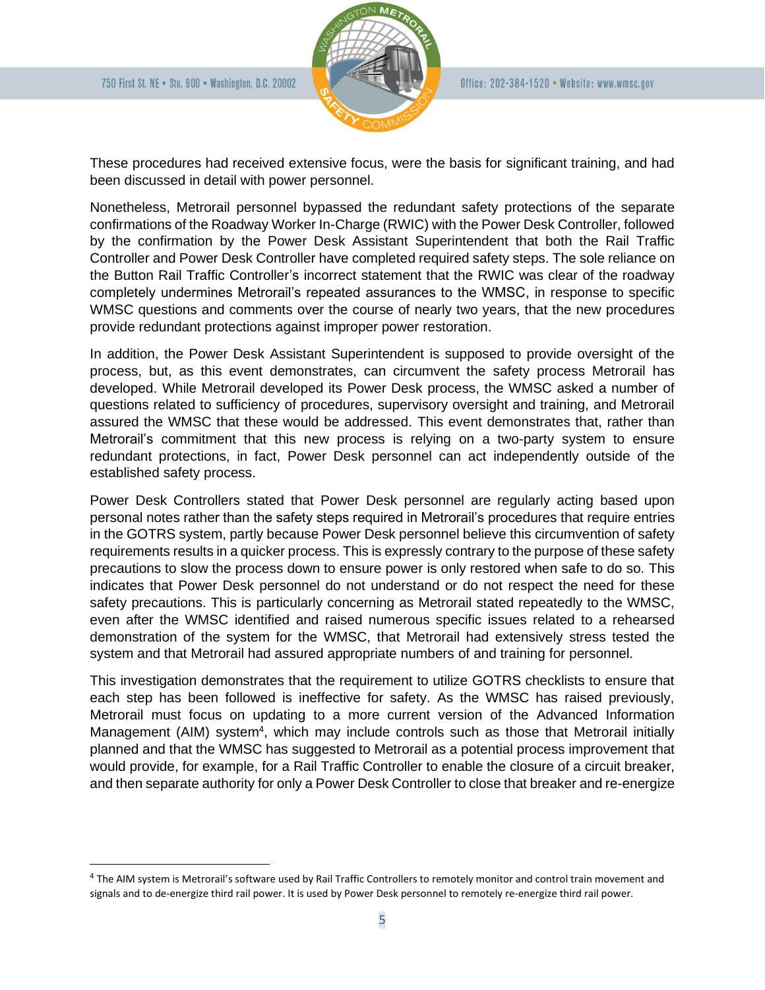

These procedures had received extensive focus, were the basis for significant training, and had been discussed in detail with power personnel.

Nonetheless, Metrorail personnel bypassed the redundant safety protections of the separate confirmations of the Roadway Worker In-Charge (RWIC) with the Power Desk Controller, followed by the confirmation by the Power Desk Assistant Superintendent that both the Rail Traffic Controller and Power Desk Controller have completed required safety steps. The sole reliance on the Button Rail Traffic Controller's incorrect statement that the RWIC was clear of the roadway completely undermines Metrorail's repeated assurances to the WMSC, in response to specific WMSC questions and comments over the course of nearly two years, that the new procedures provide redundant protections against improper power restoration.

In addition, the Power Desk Assistant Superintendent is supposed to provide oversight of the process, but, as this event demonstrates, can circumvent the safety process Metrorail has developed. While Metrorail developed its Power Desk process, the WMSC asked a number of questions related to sufficiency of procedures, supervisory oversight and training, and Metrorail assured the WMSC that these would be addressed. This event demonstrates that, rather than Metrorail's commitment that this new process is relying on a two-party system to ensure redundant protections, in fact, Power Desk personnel can act independently outside of the established safety process.

Power Desk Controllers stated that Power Desk personnel are regularly acting based upon personal notes rather than the safety steps required in Metrorail's procedures that require entries in the GOTRS system, partly because Power Desk personnel believe this circumvention of safety requirements results in a quicker process. This is expressly contrary to the purpose of these safety precautions to slow the process down to ensure power is only restored when safe to do so. This indicates that Power Desk personnel do not understand or do not respect the need for these safety precautions. This is particularly concerning as Metrorail stated repeatedly to the WMSC, even after the WMSC identified and raised numerous specific issues related to a rehearsed demonstration of the system for the WMSC, that Metrorail had extensively stress tested the system and that Metrorail had assured appropriate numbers of and training for personnel.

This investigation demonstrates that the requirement to utilize GOTRS checklists to ensure that each step has been followed is ineffective for safety. As the WMSC has raised previously, Metrorail must focus on updating to a more current version of the Advanced Information Management (AIM) system<sup>4</sup>, which may include controls such as those that Metrorail initially planned and that the WMSC has suggested to Metrorail as a potential process improvement that would provide, for example, for a Rail Traffic Controller to enable the closure of a circuit breaker, and then separate authority for only a Power Desk Controller to close that breaker and re-energize

<sup>&</sup>lt;sup>4</sup> The AIM system is Metrorail's software used by Rail Traffic Controllers to remotely monitor and control train movement and signals and to de-energize third rail power. It is used by Power Desk personnel to remotely re-energize third rail power.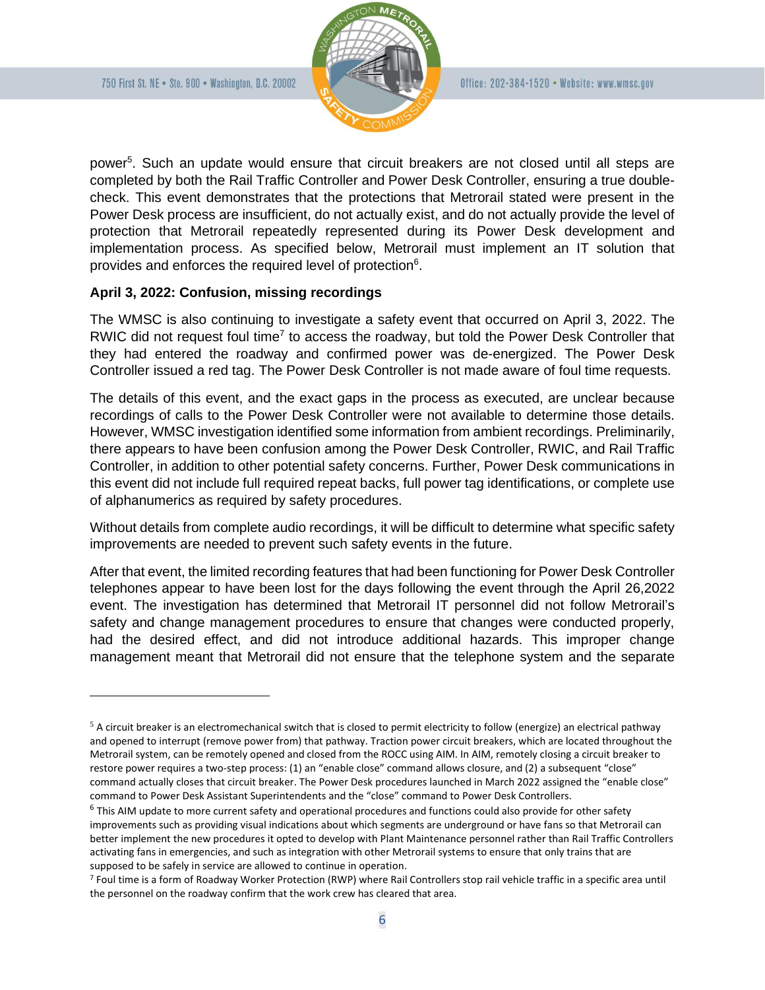

power<sup>5</sup>. Such an update would ensure that circuit breakers are not closed until all steps are completed by both the Rail Traffic Controller and Power Desk Controller, ensuring a true doublecheck. This event demonstrates that the protections that Metrorail stated were present in the Power Desk process are insufficient, do not actually exist, and do not actually provide the level of protection that Metrorail repeatedly represented during its Power Desk development and implementation process. As specified below, Metrorail must implement an IT solution that provides and enforces the required level of protection<sup>6</sup>.

## **April 3, 2022: Confusion, missing recordings**

The WMSC is also continuing to investigate a safety event that occurred on April 3, 2022. The RWIC did not request foul time<sup>7</sup> to access the roadway, but told the Power Desk Controller that they had entered the roadway and confirmed power was de-energized. The Power Desk Controller issued a red tag. The Power Desk Controller is not made aware of foul time requests.

The details of this event, and the exact gaps in the process as executed, are unclear because recordings of calls to the Power Desk Controller were not available to determine those details. However, WMSC investigation identified some information from ambient recordings. Preliminarily, there appears to have been confusion among the Power Desk Controller, RWIC, and Rail Traffic Controller, in addition to other potential safety concerns. Further, Power Desk communications in this event did not include full required repeat backs, full power tag identifications, or complete use of alphanumerics as required by safety procedures.

Without details from complete audio recordings, it will be difficult to determine what specific safety improvements are needed to prevent such safety events in the future.

After that event, the limited recording features that had been functioning for Power Desk Controller telephones appear to have been lost for the days following the event through the April 26,2022 event. The investigation has determined that Metrorail IT personnel did not follow Metrorail's safety and change management procedures to ensure that changes were conducted properly, had the desired effect, and did not introduce additional hazards. This improper change management meant that Metrorail did not ensure that the telephone system and the separate

 $5$  A circuit breaker is an electromechanical switch that is closed to permit electricity to follow (energize) an electrical pathway and opened to interrupt (remove power from) that pathway. Traction power circuit breakers, which are located throughout the Metrorail system, can be remotely opened and closed from the ROCC using AIM. In AIM, remotely closing a circuit breaker to restore power requires a two-step process: (1) an "enable close" command allows closure, and (2) a subsequent "close" command actually closes that circuit breaker. The Power Desk procedures launched in March 2022 assigned the "enable close" command to Power Desk Assistant Superintendents and the "close" command to Power Desk Controllers.

<sup>&</sup>lt;sup>6</sup> This AIM update to more current safety and operational procedures and functions could also provide for other safety improvements such as providing visual indications about which segments are underground or have fans so that Metrorail can better implement the new procedures it opted to develop with Plant Maintenance personnel rather than Rail Traffic Controllers activating fans in emergencies, and such as integration with other Metrorail systems to ensure that only trains that are supposed to be safely in service are allowed to continue in operation.

<sup>7</sup> Foul time is a form of Roadway Worker Protection (RWP) where Rail Controllers stop rail vehicle traffic in a specific area until the personnel on the roadway confirm that the work crew has cleared that area.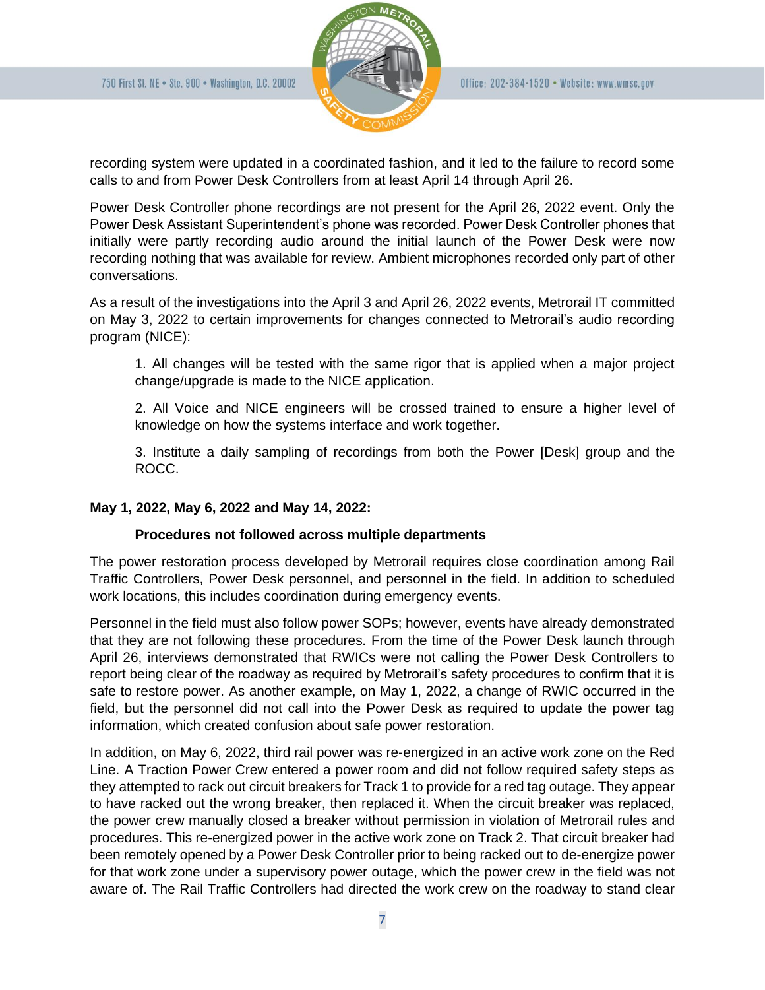

recording system were updated in a coordinated fashion, and it led to the failure to record some calls to and from Power Desk Controllers from at least April 14 through April 26.

Power Desk Controller phone recordings are not present for the April 26, 2022 event. Only the Power Desk Assistant Superintendent's phone was recorded. Power Desk Controller phones that initially were partly recording audio around the initial launch of the Power Desk were now recording nothing that was available for review. Ambient microphones recorded only part of other conversations.

As a result of the investigations into the April 3 and April 26, 2022 events, Metrorail IT committed on May 3, 2022 to certain improvements for changes connected to Metrorail's audio recording program (NICE):

1. All changes will be tested with the same rigor that is applied when a major project change/upgrade is made to the NICE application.

2. All Voice and NICE engineers will be crossed trained to ensure a higher level of knowledge on how the systems interface and work together.

3. Institute a daily sampling of recordings from both the Power [Desk] group and the ROCC.

# **May 1, 2022, May 6, 2022 and May 14, 2022:**

# **Procedures not followed across multiple departments**

The power restoration process developed by Metrorail requires close coordination among Rail Traffic Controllers, Power Desk personnel, and personnel in the field. In addition to scheduled work locations, this includes coordination during emergency events.

Personnel in the field must also follow power SOPs; however, events have already demonstrated that they are not following these procedures. From the time of the Power Desk launch through April 26, interviews demonstrated that RWICs were not calling the Power Desk Controllers to report being clear of the roadway as required by Metrorail's safety procedures to confirm that it is safe to restore power. As another example, on May 1, 2022, a change of RWIC occurred in the field, but the personnel did not call into the Power Desk as required to update the power tag information, which created confusion about safe power restoration.

In addition, on May 6, 2022, third rail power was re-energized in an active work zone on the Red Line. A Traction Power Crew entered a power room and did not follow required safety steps as they attempted to rack out circuit breakers for Track 1 to provide for a red tag outage. They appear to have racked out the wrong breaker, then replaced it. When the circuit breaker was replaced, the power crew manually closed a breaker without permission in violation of Metrorail rules and procedures. This re-energized power in the active work zone on Track 2. That circuit breaker had been remotely opened by a Power Desk Controller prior to being racked out to de-energize power for that work zone under a supervisory power outage, which the power crew in the field was not aware of. The Rail Traffic Controllers had directed the work crew on the roadway to stand clear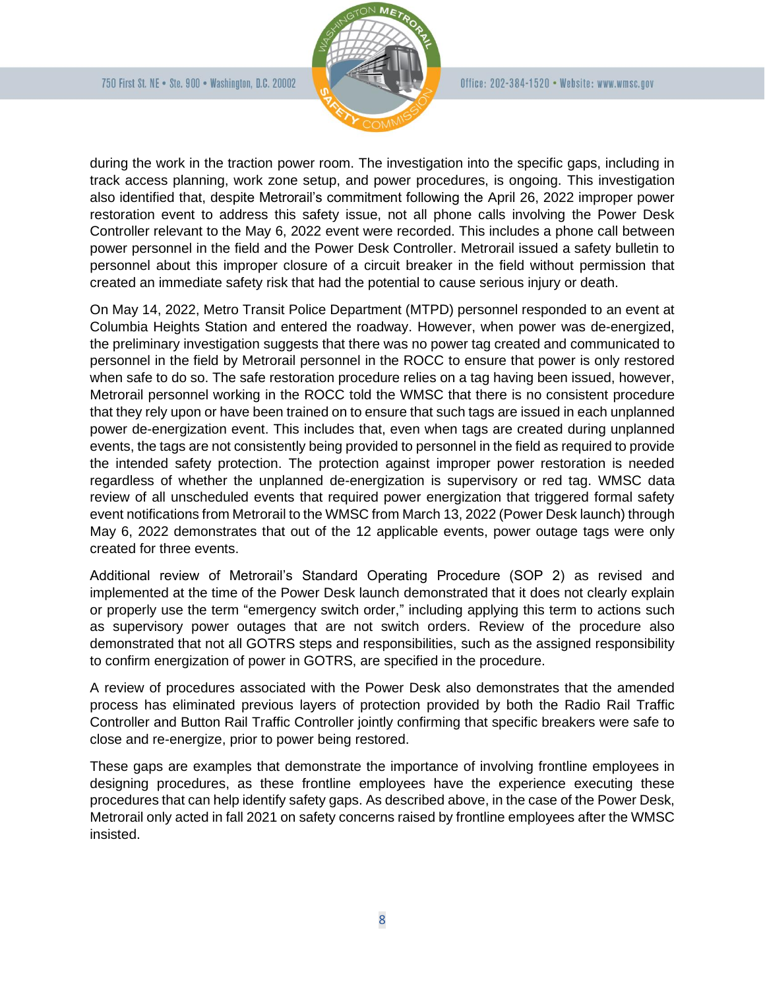

during the work in the traction power room. The investigation into the specific gaps, including in track access planning, work zone setup, and power procedures, is ongoing. This investigation also identified that, despite Metrorail's commitment following the April 26, 2022 improper power restoration event to address this safety issue, not all phone calls involving the Power Desk Controller relevant to the May 6, 2022 event were recorded. This includes a phone call between power personnel in the field and the Power Desk Controller. Metrorail issued a safety bulletin to personnel about this improper closure of a circuit breaker in the field without permission that created an immediate safety risk that had the potential to cause serious injury or death.

On May 14, 2022, Metro Transit Police Department (MTPD) personnel responded to an event at Columbia Heights Station and entered the roadway. However, when power was de-energized, the preliminary investigation suggests that there was no power tag created and communicated to personnel in the field by Metrorail personnel in the ROCC to ensure that power is only restored when safe to do so. The safe restoration procedure relies on a tag having been issued, however, Metrorail personnel working in the ROCC told the WMSC that there is no consistent procedure that they rely upon or have been trained on to ensure that such tags are issued in each unplanned power de-energization event. This includes that, even when tags are created during unplanned events, the tags are not consistently being provided to personnel in the field as required to provide the intended safety protection. The protection against improper power restoration is needed regardless of whether the unplanned de-energization is supervisory or red tag. WMSC data review of all unscheduled events that required power energization that triggered formal safety event notifications from Metrorail to the WMSC from March 13, 2022 (Power Desk launch) through May 6, 2022 demonstrates that out of the 12 applicable events, power outage tags were only created for three events.

Additional review of Metrorail's Standard Operating Procedure (SOP 2) as revised and implemented at the time of the Power Desk launch demonstrated that it does not clearly explain or properly use the term "emergency switch order," including applying this term to actions such as supervisory power outages that are not switch orders. Review of the procedure also demonstrated that not all GOTRS steps and responsibilities, such as the assigned responsibility to confirm energization of power in GOTRS, are specified in the procedure.

A review of procedures associated with the Power Desk also demonstrates that the amended process has eliminated previous layers of protection provided by both the Radio Rail Traffic Controller and Button Rail Traffic Controller jointly confirming that specific breakers were safe to close and re-energize, prior to power being restored.

These gaps are examples that demonstrate the importance of involving frontline employees in designing procedures, as these frontline employees have the experience executing these procedures that can help identify safety gaps. As described above, in the case of the Power Desk, Metrorail only acted in fall 2021 on safety concerns raised by frontline employees after the WMSC insisted.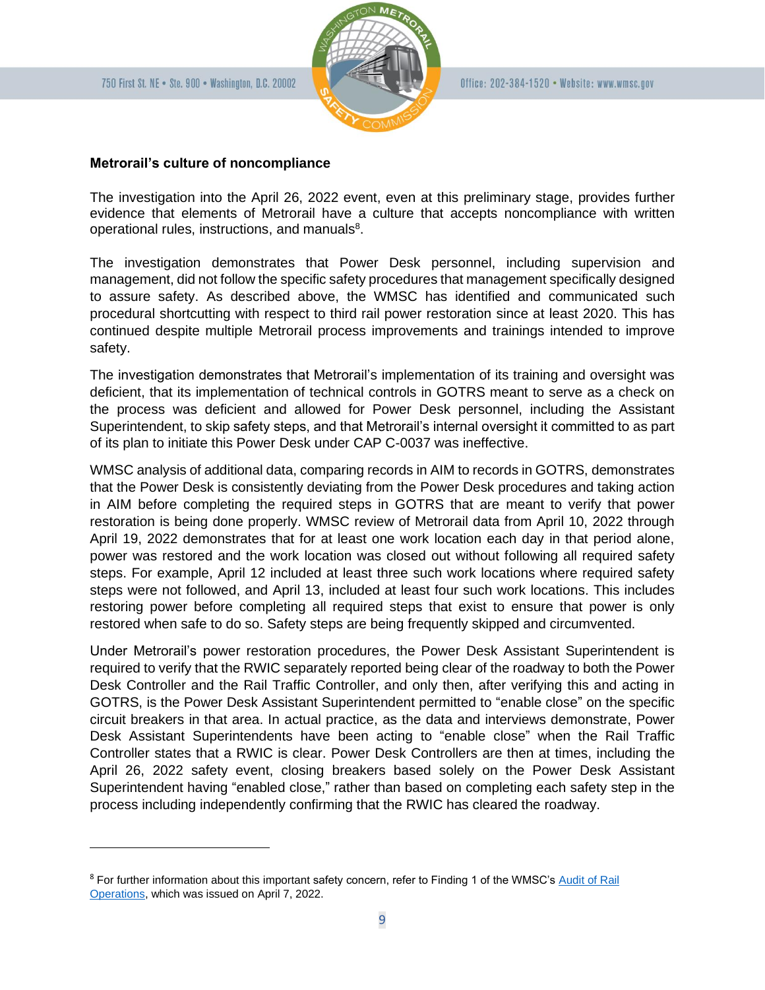

#### **Metrorail's culture of noncompliance**

The investigation into the April 26, 2022 event, even at this preliminary stage, provides further evidence that elements of Metrorail have a culture that accepts noncompliance with written operational rules, instructions, and manuals $8$ .

The investigation demonstrates that Power Desk personnel, including supervision and management, did not follow the specific safety procedures that management specifically designed to assure safety. As described above, the WMSC has identified and communicated such procedural shortcutting with respect to third rail power restoration since at least 2020. This has continued despite multiple Metrorail process improvements and trainings intended to improve safety.

The investigation demonstrates that Metrorail's implementation of its training and oversight was deficient, that its implementation of technical controls in GOTRS meant to serve as a check on the process was deficient and allowed for Power Desk personnel, including the Assistant Superintendent, to skip safety steps, and that Metrorail's internal oversight it committed to as part of its plan to initiate this Power Desk under CAP C-0037 was ineffective.

WMSC analysis of additional data, comparing records in AIM to records in GOTRS, demonstrates that the Power Desk is consistently deviating from the Power Desk procedures and taking action in AIM before completing the required steps in GOTRS that are meant to verify that power restoration is being done properly. WMSC review of Metrorail data from April 10, 2022 through April 19, 2022 demonstrates that for at least one work location each day in that period alone, power was restored and the work location was closed out without following all required safety steps. For example, April 12 included at least three such work locations where required safety steps were not followed, and April 13, included at least four such work locations. This includes restoring power before completing all required steps that exist to ensure that power is only restored when safe to do so. Safety steps are being frequently skipped and circumvented.

Under Metrorail's power restoration procedures, the Power Desk Assistant Superintendent is required to verify that the RWIC separately reported being clear of the roadway to both the Power Desk Controller and the Rail Traffic Controller, and only then, after verifying this and acting in GOTRS, is the Power Desk Assistant Superintendent permitted to "enable close" on the specific circuit breakers in that area. In actual practice, as the data and interviews demonstrate, Power Desk Assistant Superintendents have been acting to "enable close" when the Rail Traffic Controller states that a RWIC is clear. Power Desk Controllers are then at times, including the April 26, 2022 safety event, closing breakers based solely on the Power Desk Assistant Superintendent having "enabled close," rather than based on completing each safety step in the process including independently confirming that the RWIC has cleared the roadway.

<sup>&</sup>lt;sup>8</sup> For further information about this important safety concern, refer to Finding 1 of the WMSC's Audit of Rail [Operations,](https://wmsc.gov/wp-content/uploads/2022/04/WMSCRailOperationsAudit_FinalReport.pdf) which was issued on April 7, 2022.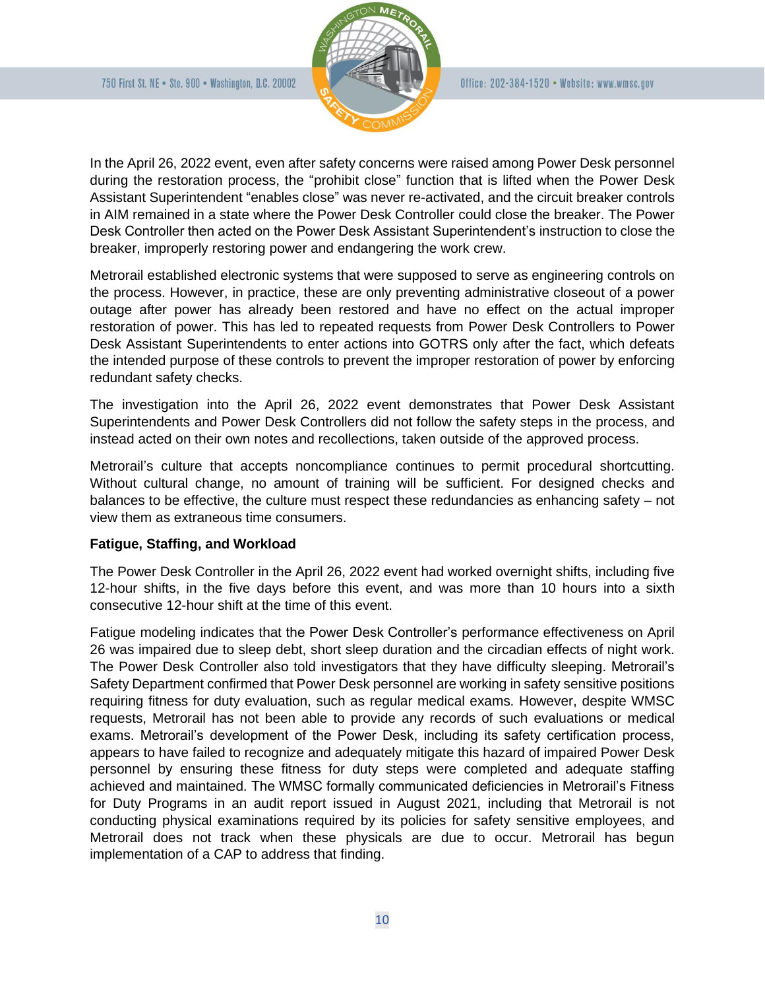

In the April 26, 2022 event, even after safety concerns were raised among Power Desk personnel during the restoration process, the "prohibit close" function that is lifted when the Power Desk Assistant Superintendent "enables close" was never re-activated, and the circuit breaker controls in AIM remained in a state where the Power Desk Controller could close the breaker. The Power Desk Controller then acted on the Power Desk Assistant Superintendent's instruction to close the breaker, improperly restoring power and endangering the work crew.

Metrorail established electronic systems that were supposed to serve as engineering controls on the process. However, in practice, these are only preventing administrative closeout of a power outage after power has already been restored and have no effect on the actual improper restoration of power. This has led to repeated requests from Power Desk Controllers to Power Desk Assistant Superintendents to enter actions into GOTRS only after the fact, which defeats the intended purpose of these controls to prevent the improper restoration of power by enforcing redundant safety checks.

The investigation into the April 26, 2022 event demonstrates that Power Desk Assistant Superintendents and Power Desk Controllers did not follow the safety steps in the process, and instead acted on their own notes and recollections, taken outside of the approved process.

Metrorail's culture that accepts noncompliance continues to permit procedural shortcutting. Without cultural change, no amount of training will be sufficient. For designed checks and balances to be effective, the culture must respect these redundancies as enhancing safety – not view them as extraneous time consumers.

#### **Fatigue, Staffing, and Workload**

The Power Desk Controller in the April 26, 2022 event had worked overnight shifts, including five 12-hour shifts, in the five days before this event, and was more than 10 hours into a sixth consecutive 12-hour shift at the time of this event.

Fatigue modeling indicates that the Power Desk Controller's performance effectiveness on April 26 was impaired due to sleep debt, short sleep duration and the circadian effects of night work. The Power Desk Controller also told investigators that they have difficulty sleeping. Metrorail's Safety Department confirmed that Power Desk personnel are working in safety sensitive positions requiring fitness for duty evaluation, such as regular medical exams. However, despite WMSC requests, Metrorail has not been able to provide any records of such evaluations or medical exams. Metrorail's development of the Power Desk, including its safety certification process, appears to have failed to recognize and adequately mitigate this hazard of impaired Power Desk personnel by ensuring these fitness for duty steps were completed and adequate staffing achieved and maintained. The WMSC formally communicated deficiencies in Metrorail's Fitness for Duty Programs in an audit report issued in August 2021, including that Metrorail is not conducting physical examinations required by its policies for safety sensitive employees, and Metrorail does not track when these physicals are due to occur. Metrorail has begun implementation of a CAP to address that finding.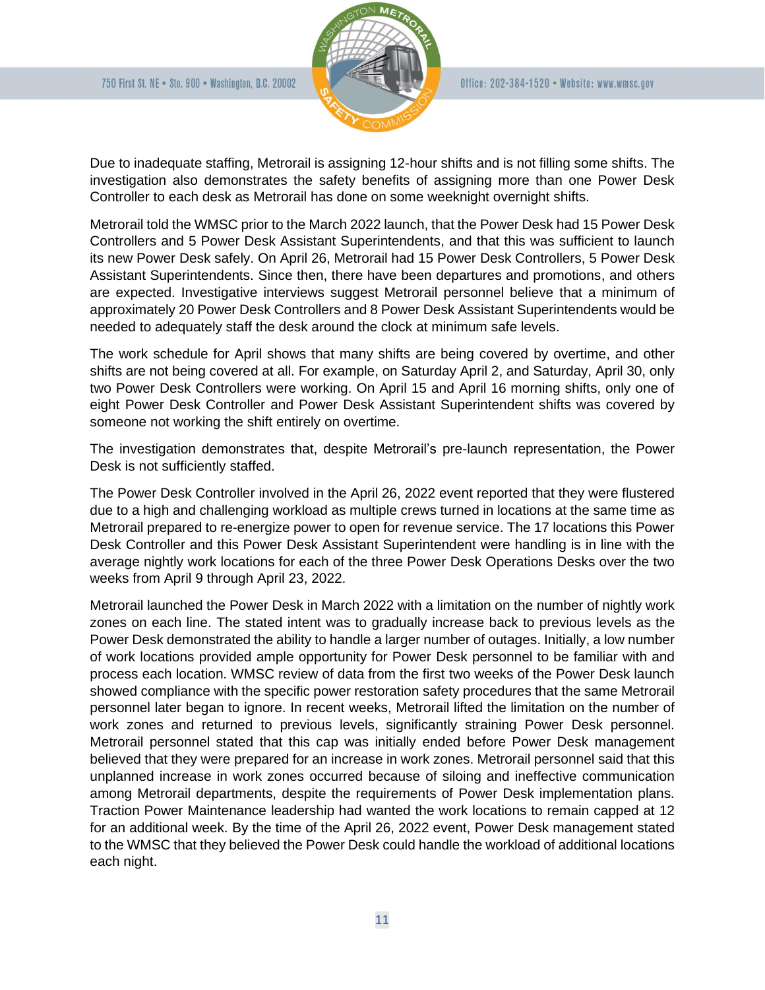

Due to inadequate staffing, Metrorail is assigning 12-hour shifts and is not filling some shifts. The investigation also demonstrates the safety benefits of assigning more than one Power Desk Controller to each desk as Metrorail has done on some weeknight overnight shifts.

Metrorail told the WMSC prior to the March 2022 launch, that the Power Desk had 15 Power Desk Controllers and 5 Power Desk Assistant Superintendents, and that this was sufficient to launch its new Power Desk safely. On April 26, Metrorail had 15 Power Desk Controllers, 5 Power Desk Assistant Superintendents. Since then, there have been departures and promotions, and others are expected. Investigative interviews suggest Metrorail personnel believe that a minimum of approximately 20 Power Desk Controllers and 8 Power Desk Assistant Superintendents would be needed to adequately staff the desk around the clock at minimum safe levels.

The work schedule for April shows that many shifts are being covered by overtime, and other shifts are not being covered at all. For example, on Saturday April 2, and Saturday, April 30, only two Power Desk Controllers were working. On April 15 and April 16 morning shifts, only one of eight Power Desk Controller and Power Desk Assistant Superintendent shifts was covered by someone not working the shift entirely on overtime.

The investigation demonstrates that, despite Metrorail's pre-launch representation, the Power Desk is not sufficiently staffed.

The Power Desk Controller involved in the April 26, 2022 event reported that they were flustered due to a high and challenging workload as multiple crews turned in locations at the same time as Metrorail prepared to re-energize power to open for revenue service. The 17 locations this Power Desk Controller and this Power Desk Assistant Superintendent were handling is in line with the average nightly work locations for each of the three Power Desk Operations Desks over the two weeks from April 9 through April 23, 2022.

Metrorail launched the Power Desk in March 2022 with a limitation on the number of nightly work zones on each line. The stated intent was to gradually increase back to previous levels as the Power Desk demonstrated the ability to handle a larger number of outages. Initially, a low number of work locations provided ample opportunity for Power Desk personnel to be familiar with and process each location. WMSC review of data from the first two weeks of the Power Desk launch showed compliance with the specific power restoration safety procedures that the same Metrorail personnel later began to ignore. In recent weeks, Metrorail lifted the limitation on the number of work zones and returned to previous levels, significantly straining Power Desk personnel. Metrorail personnel stated that this cap was initially ended before Power Desk management believed that they were prepared for an increase in work zones. Metrorail personnel said that this unplanned increase in work zones occurred because of siloing and ineffective communication among Metrorail departments, despite the requirements of Power Desk implementation plans. Traction Power Maintenance leadership had wanted the work locations to remain capped at 12 for an additional week. By the time of the April 26, 2022 event, Power Desk management stated to the WMSC that they believed the Power Desk could handle the workload of additional locations each night.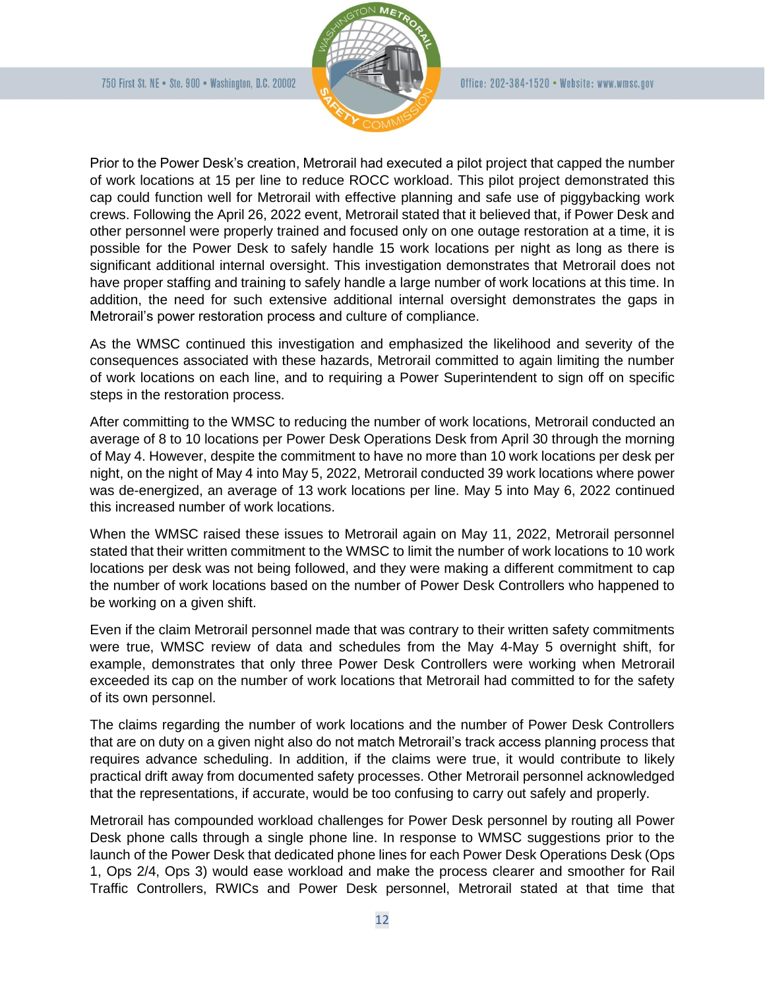

Prior to the Power Desk's creation, Metrorail had executed a pilot project that capped the number of work locations at 15 per line to reduce ROCC workload. This pilot project demonstrated this cap could function well for Metrorail with effective planning and safe use of piggybacking work crews. Following the April 26, 2022 event, Metrorail stated that it believed that, if Power Desk and other personnel were properly trained and focused only on one outage restoration at a time, it is possible for the Power Desk to safely handle 15 work locations per night as long as there is significant additional internal oversight. This investigation demonstrates that Metrorail does not have proper staffing and training to safely handle a large number of work locations at this time. In addition, the need for such extensive additional internal oversight demonstrates the gaps in Metrorail's power restoration process and culture of compliance.

As the WMSC continued this investigation and emphasized the likelihood and severity of the consequences associated with these hazards, Metrorail committed to again limiting the number of work locations on each line, and to requiring a Power Superintendent to sign off on specific steps in the restoration process.

After committing to the WMSC to reducing the number of work locations, Metrorail conducted an average of 8 to 10 locations per Power Desk Operations Desk from April 30 through the morning of May 4. However, despite the commitment to have no more than 10 work locations per desk per night, on the night of May 4 into May 5, 2022, Metrorail conducted 39 work locations where power was de-energized, an average of 13 work locations per line. May 5 into May 6, 2022 continued this increased number of work locations.

When the WMSC raised these issues to Metrorail again on May 11, 2022, Metrorail personnel stated that their written commitment to the WMSC to limit the number of work locations to 10 work locations per desk was not being followed, and they were making a different commitment to cap the number of work locations based on the number of Power Desk Controllers who happened to be working on a given shift.

Even if the claim Metrorail personnel made that was contrary to their written safety commitments were true, WMSC review of data and schedules from the May 4-May 5 overnight shift, for example, demonstrates that only three Power Desk Controllers were working when Metrorail exceeded its cap on the number of work locations that Metrorail had committed to for the safety of its own personnel.

The claims regarding the number of work locations and the number of Power Desk Controllers that are on duty on a given night also do not match Metrorail's track access planning process that requires advance scheduling. In addition, if the claims were true, it would contribute to likely practical drift away from documented safety processes. Other Metrorail personnel acknowledged that the representations, if accurate, would be too confusing to carry out safely and properly.

Metrorail has compounded workload challenges for Power Desk personnel by routing all Power Desk phone calls through a single phone line. In response to WMSC suggestions prior to the launch of the Power Desk that dedicated phone lines for each Power Desk Operations Desk (Ops 1, Ops 2/4, Ops 3) would ease workload and make the process clearer and smoother for Rail Traffic Controllers, RWICs and Power Desk personnel, Metrorail stated at that time that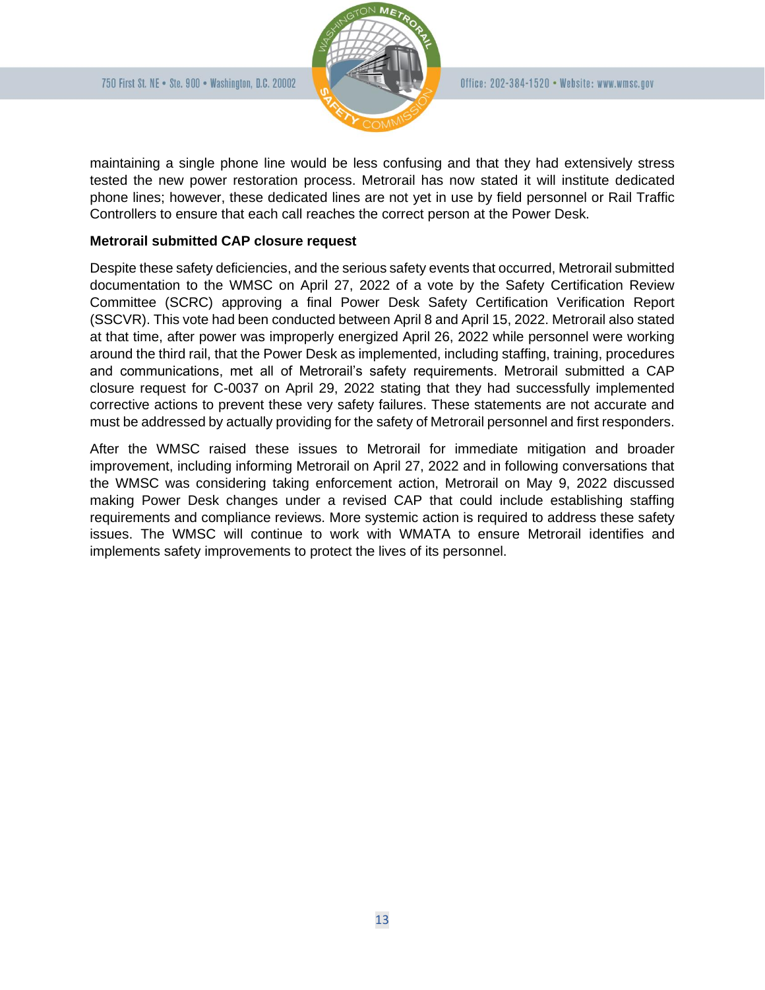

maintaining a single phone line would be less confusing and that they had extensively stress tested the new power restoration process. Metrorail has now stated it will institute dedicated phone lines; however, these dedicated lines are not yet in use by field personnel or Rail Traffic Controllers to ensure that each call reaches the correct person at the Power Desk.

# **Metrorail submitted CAP closure request**

Despite these safety deficiencies, and the serious safety events that occurred, Metrorail submitted documentation to the WMSC on April 27, 2022 of a vote by the Safety Certification Review Committee (SCRC) approving a final Power Desk Safety Certification Verification Report (SSCVR). This vote had been conducted between April 8 and April 15, 2022. Metrorail also stated at that time, after power was improperly energized April 26, 2022 while personnel were working around the third rail, that the Power Desk as implemented, including staffing, training, procedures and communications, met all of Metrorail's safety requirements. Metrorail submitted a CAP closure request for C-0037 on April 29, 2022 stating that they had successfully implemented corrective actions to prevent these very safety failures. These statements are not accurate and must be addressed by actually providing for the safety of Metrorail personnel and first responders.

After the WMSC raised these issues to Metrorail for immediate mitigation and broader improvement, including informing Metrorail on April 27, 2022 and in following conversations that the WMSC was considering taking enforcement action, Metrorail on May 9, 2022 discussed making Power Desk changes under a revised CAP that could include establishing staffing requirements and compliance reviews. More systemic action is required to address these safety issues. The WMSC will continue to work with WMATA to ensure Metrorail identifies and implements safety improvements to protect the lives of its personnel.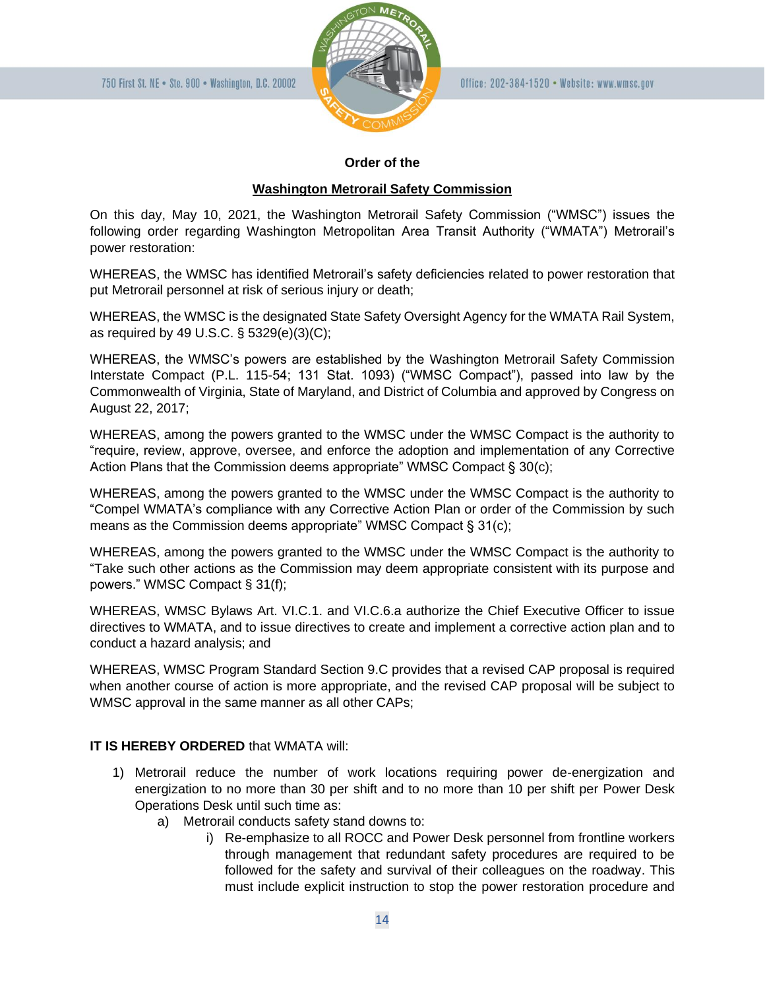

#### **Order of the**

# **Washington Metrorail Safety Commission**

On this day, May 10, 2021, the Washington Metrorail Safety Commission ("WMSC") issues the following order regarding Washington Metropolitan Area Transit Authority ("WMATA") Metrorail's power restoration:

WHEREAS, the WMSC has identified Metrorail's safety deficiencies related to power restoration that put Metrorail personnel at risk of serious injury or death;

WHEREAS, the WMSC is the designated State Safety Oversight Agency for the WMATA Rail System, as required by 49 U.S.C. § 5329(e)(3)(C);

WHEREAS, the WMSC's powers are established by the Washington Metrorail Safety Commission Interstate Compact (P.L. 115-54; 131 Stat. 1093) ("WMSC Compact"), passed into law by the Commonwealth of Virginia, State of Maryland, and District of Columbia and approved by Congress on August 22, 2017;

WHEREAS, among the powers granted to the WMSC under the WMSC Compact is the authority to "require, review, approve, oversee, and enforce the adoption and implementation of any Corrective Action Plans that the Commission deems appropriate" WMSC Compact § 30(c);

WHEREAS, among the powers granted to the WMSC under the WMSC Compact is the authority to "Compel WMATA's compliance with any Corrective Action Plan or order of the Commission by such means as the Commission deems appropriate" WMSC Compact § 31(c);

WHEREAS, among the powers granted to the WMSC under the WMSC Compact is the authority to "Take such other actions as the Commission may deem appropriate consistent with its purpose and powers." WMSC Compact § 31(f);

WHEREAS, WMSC Bylaws Art. VI.C.1. and VI.C.6.a authorize the Chief Executive Officer to issue directives to WMATA, and to issue directives to create and implement a corrective action plan and to conduct a hazard analysis; and

WHEREAS, WMSC Program Standard Section 9.C provides that a revised CAP proposal is required when another course of action is more appropriate, and the revised CAP proposal will be subject to WMSC approval in the same manner as all other CAPs;

# **IT IS HEREBY ORDERED** that WMATA will:

- 1) Metrorail reduce the number of work locations requiring power de-energization and energization to no more than 30 per shift and to no more than 10 per shift per Power Desk Operations Desk until such time as:
	- a) Metrorail conducts safety stand downs to:
		- i) Re-emphasize to all ROCC and Power Desk personnel from frontline workers through management that redundant safety procedures are required to be followed for the safety and survival of their colleagues on the roadway. This must include explicit instruction to stop the power restoration procedure and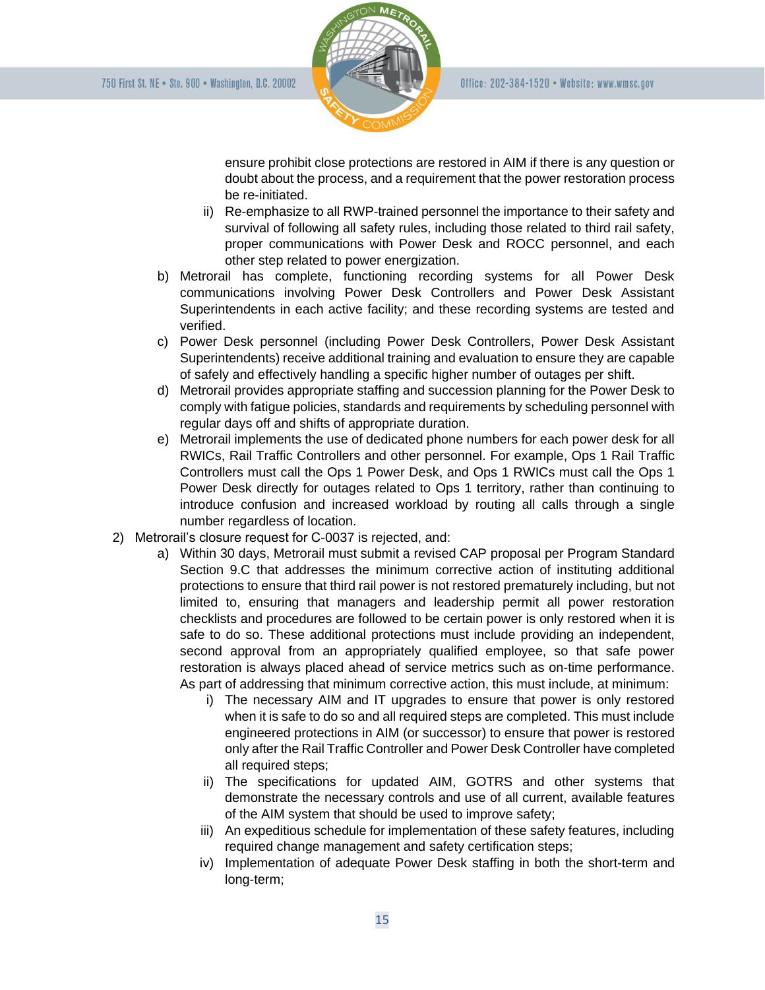

ensure prohibit close protections are restored in AIM if there is any question or doubt about the process, and a requirement that the power restoration process be re-initiated.

- ii) Re-emphasize to all RWP-trained personnel the importance to their safety and survival of following all safety rules, including those related to third rail safety, proper communications with Power Desk and ROCC personnel, and each other step related to power energization.
- b) Metrorail has complete, functioning recording systems for all Power Desk communications involving Power Desk Controllers and Power Desk Assistant Superintendents in each active facility; and these recording systems are tested and verified.
- c) Power Desk personnel (including Power Desk Controllers, Power Desk Assistant Superintendents) receive additional training and evaluation to ensure they are capable of safely and effectively handling a specific higher number of outages per shift.
- d) Metrorail provides appropriate staffing and succession planning for the Power Desk to comply with fatigue policies, standards and requirements by scheduling personnel with regular days off and shifts of appropriate duration.
- e) Metrorail implements the use of dedicated phone numbers for each power desk for all RWICs, Rail Traffic Controllers and other personnel. For example, Ops 1 Rail Traffic Controllers must call the Ops 1 Power Desk, and Ops 1 RWICs must call the Ops 1 Power Desk directly for outages related to Ops 1 territory, rather than continuing to introduce confusion and increased workload by routing all calls through a single number regardless of location.
- 2) Metrorail's closure request for C-0037 is rejected, and:
	- a) Within 30 days, Metrorail must submit a revised CAP proposal per Program Standard Section 9.C that addresses the minimum corrective action of instituting additional protections to ensure that third rail power is not restored prematurely including, but not limited to, ensuring that managers and leadership permit all power restoration checklists and procedures are followed to be certain power is only restored when it is safe to do so. These additional protections must include providing an independent, second approval from an appropriately qualified employee, so that safe power restoration is always placed ahead of service metrics such as on-time performance. As part of addressing that minimum corrective action, this must include, at minimum:
		- i) The necessary AIM and IT upgrades to ensure that power is only restored when it is safe to do so and all required steps are completed. This must include engineered protections in AIM (or successor) to ensure that power is restored only after the Rail Traffic Controller and Power Desk Controller have completed all required steps;
		- ii) The specifications for updated AIM, GOTRS and other systems that demonstrate the necessary controls and use of all current, available features of the AIM system that should be used to improve safety;
		- iii) An expeditious schedule for implementation of these safety features, including required change management and safety certification steps;
		- iv) Implementation of adequate Power Desk staffing in both the short-term and long-term;